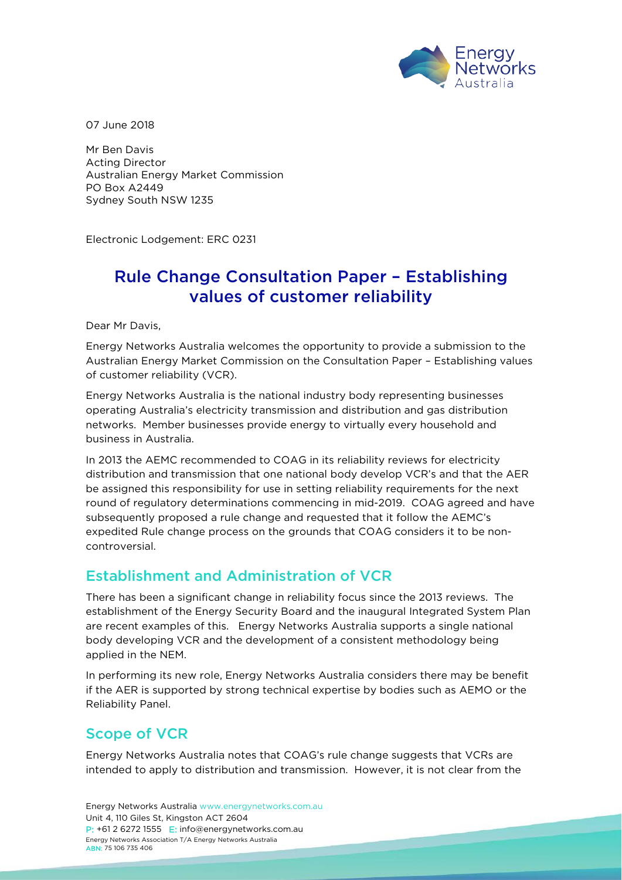

07 June 2018

Mr Ben Davis Acting Director Australian Energy Market Commission PO Box A2449 Sydney South NSW 1235

Electronic Lodgement: ERC 0231

# Rule Change Consultation Paper – Establishing values of customer reliability

Dear Mr Davis,

Energy Networks Australia welcomes the opportunity to provide a submission to the Australian Energy Market Commission on the Consultation Paper – Establishing values of customer reliability (VCR).

Energy Networks Australia is the national industry body representing businesses operating Australia's electricity transmission and distribution and gas distribution networks. Member businesses provide energy to virtually every household and business in Australia.

In 2013 the AEMC recommended to COAG in its reliability reviews for electricity distribution and transmission that one national body develop VCR's and that the AER be assigned this responsibility for use in setting reliability requirements for the next round of regulatory determinations commencing in mid-2019. COAG agreed and have subsequently proposed a rule change and requested that it follow the AEMC's expedited Rule change process on the grounds that COAG considers it to be noncontroversial.

#### Establishment and Administration of VCR

There has been a significant change in reliability focus since the 2013 reviews. The establishment of the Energy Security Board and the inaugural Integrated System Plan are recent examples of this. Energy Networks Australia supports a single national body developing VCR and the development of a consistent methodology being applied in the NEM.

In performing its new role, Energy Networks Australia considers there may be benefit if the AER is supported by strong technical expertise by bodies such as AEMO or the Reliability Panel.

#### Scope of VCR

Energy Networks Australia notes that COAG's rule change suggests that VCRs are intended to apply to distribution and transmission. However, it is not clear from the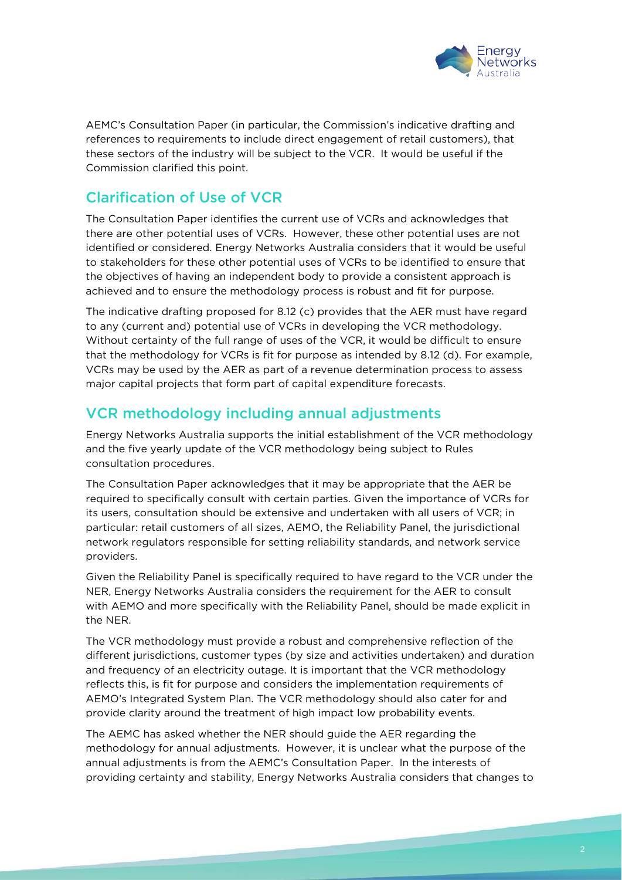

AEMC's Consultation Paper (in particular, the Commission's indicative drafting and references to requirements to include direct engagement of retail customers), that these sectors of the industry will be subject to the VCR. It would be useful if the Commission clarified this point.

### Clarification of Use of VCR

The Consultation Paper identifies the current use of VCRs and acknowledges that there are other potential uses of VCRs. However, these other potential uses are not identified or considered. Energy Networks Australia considers that it would be useful to stakeholders for these other potential uses of VCRs to be identified to ensure that the objectives of having an independent body to provide a consistent approach is achieved and to ensure the methodology process is robust and fit for purpose.

The indicative drafting proposed for 8.12 (c) provides that the AER must have regard to any (current and) potential use of VCRs in developing the VCR methodology. Without certainty of the full range of uses of the VCR, it would be difficult to ensure that the methodology for VCRs is fit for purpose as intended by 8.12 (d). For example, VCRs may be used by the AER as part of a revenue determination process to assess major capital projects that form part of capital expenditure forecasts.

## VCR methodology including annual adjustments

Energy Networks Australia supports the initial establishment of the VCR methodology and the five yearly update of the VCR methodology being subject to Rules consultation procedures.

The Consultation Paper acknowledges that it may be appropriate that the AER be required to specifically consult with certain parties. Given the importance of VCRs for its users, consultation should be extensive and undertaken with all users of VCR; in particular: retail customers of all sizes, AEMO, the Reliability Panel, the jurisdictional network regulators responsible for setting reliability standards, and network service providers.

Given the Reliability Panel is specifically required to have regard to the VCR under the NER, Energy Networks Australia considers the requirement for the AER to consult with AEMO and more specifically with the Reliability Panel, should be made explicit in the NER.

The VCR methodology must provide a robust and comprehensive reflection of the different jurisdictions, customer types (by size and activities undertaken) and duration and frequency of an electricity outage. It is important that the VCR methodology reflects this, is fit for purpose and considers the implementation requirements of AEMO's Integrated System Plan. The VCR methodology should also cater for and provide clarity around the treatment of high impact low probability events.

The AEMC has asked whether the NER should guide the AER regarding the methodology for annual adjustments. However, it is unclear what the purpose of the annual adjustments is from the AEMC's Consultation Paper. In the interests of providing certainty and stability, Energy Networks Australia considers that changes to